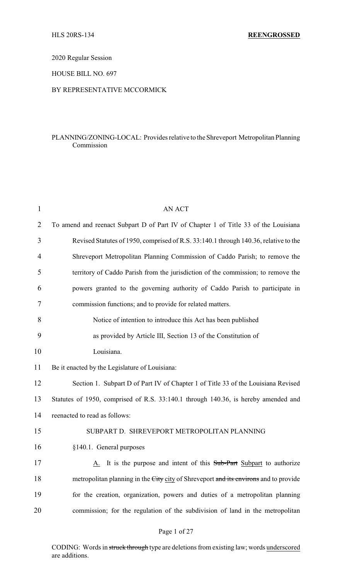2020 Regular Session

HOUSE BILL NO. 697

## BY REPRESENTATIVE MCCORMICK

## PLANNING/ZONING-LOCAL: Provides relative to the Shreveport Metropolitan Planning Commission

| $\mathbf{1}$ | <b>AN ACT</b>                                                                        |
|--------------|--------------------------------------------------------------------------------------|
| 2            | To amend and reenact Subpart D of Part IV of Chapter 1 of Title 33 of the Louisiana  |
| 3            | Revised Statutes of 1950, comprised of R.S. 33:140.1 through 140.36, relative to the |
| 4            | Shreveport Metropolitan Planning Commission of Caddo Parish; to remove the           |
| 5            | territory of Caddo Parish from the jurisdiction of the commission; to remove the     |
| 6            | powers granted to the governing authority of Caddo Parish to participate in          |
| 7            | commission functions; and to provide for related matters.                            |
| 8            | Notice of intention to introduce this Act has been published                         |
| 9            | as provided by Article III, Section 13 of the Constitution of                        |
| 10           | Louisiana.                                                                           |
| 11           | Be it enacted by the Legislature of Louisiana:                                       |
| 12           | Section 1. Subpart D of Part IV of Chapter 1 of Title 33 of the Louisiana Revised    |
| 13           | Statutes of 1950, comprised of R.S. 33:140.1 through 140.36, is hereby amended and   |
| 14           | reenacted to read as follows:                                                        |
| 15           | SUBPART D. SHREVEPORT METROPOLITAN PLANNING                                          |
| 16           | §140.1. General purposes                                                             |
| 17           | A. It is the purpose and intent of this Sub-Part Subpart to authorize                |
| 18           | metropolitan planning in the City city of Shreveport and its environs and to provide |
| 19           | for the creation, organization, powers and duties of a metropolitan planning         |
| 20           | commission; for the regulation of the subdivision of land in the metropolitan        |
|              |                                                                                      |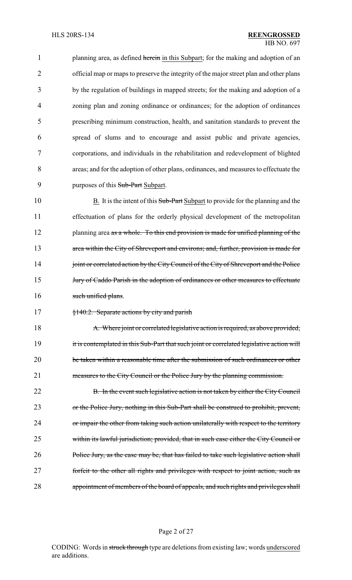1 planning area, as defined herein in this Subpart; for the making and adoption of an official map or maps to preserve the integrity of the major street plan and other plans by the regulation of buildings in mapped streets; for the making and adoption of a zoning plan and zoning ordinance or ordinances; for the adoption of ordinances prescribing minimum construction, health, and sanitation standards to prevent the spread of slums and to encourage and assist public and private agencies, corporations, and individuals in the rehabilitation and redevelopment of blighted areas; and for the adoption of other plans, ordinances, and measures to effectuate the 9 purposes of this Sub-Part Subpart.

10 B. It is the intent of this Sub-Part Subpart to provide for the planning and the 11 effectuation of plans for the orderly physical development of the metropolitan 12 planning area as a whole. To this end provision is made for unified planning of the 13 area within the City of Shreveport and environs; and, further, provision is made for 14 joint or correlated action by the City Council of the City of Shreveport and the Police 15 *Jury of Caddo Parish in the adoption of ordinances or other measures to effectuate* 16 such unified plans.

17 §140.2. Separate actions by city and parish

18 A. Where joint or correlated legislative action is required, as above provided, 19 it is contemplated in this Sub-Part that such joint or correlated legislative action will 20 be taken within a reasonable time after the submission of such ordinances or other 21 measures to the City Council or the Police Jury by the planning commission.

22 B. In the event such legislative action is not taken by either the City Council 23 or the Police Jury, nothing in this Sub-Part shall be construed to prohibit, prevent, 24 or impair the other from taking such action unilaterally with respect to the territory 25 within its lawful jurisdiction; provided, that in such case either the City Council or 26 Police Jury, as the case may be, that has failed to take such legislative action shall 27 forfeit to the other all rights and privileges with respect to joint action, such as 28 appointment of members of the board of appeals, and such rights and privileges shall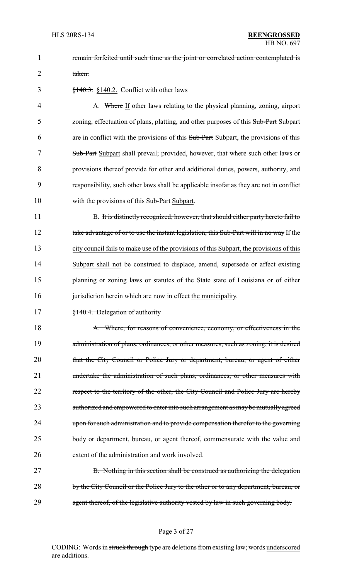1 **remain forfeited until such time as the joint or correlated action contemplated is** 2 taken.

 $\frac{$140.3}{140.3}$  \\$140.2. Conflict with other laws

4 A. Where If other laws relating to the physical planning, zoning, airport 5 zoning, effectuation of plans, platting, and other purposes of this Sub-Part Subpart 6 are in conflict with the provisions of this Sub-Part Subpart, the provisions of this 7 Sub-Part Subpart shall prevail; provided, however, that where such other laws or 8 provisions thereof provide for other and additional duties, powers, authority, and 9 responsibility, such other laws shall be applicable insofar as they are not in conflict 10 with the provisions of this Sub-Part Subpart.

11 B. It is distinctly recognized, however, that should either party hereto fail to 12 take advantage of or to use the instant legislation, this Sub-Part will in no way If the 13 city council fails to make use of the provisions of this Subpart, the provisions of this 14 Subpart shall not be construed to displace, amend, supersede or affect existing 15 planning or zoning laws or statutes of the State state of Louisiana or of either 16 jurisdiction herein which are now in effect the municipality.

17 §140.4. Delegation of authority

18 A. Where, for reasons of convenience, economy, or effectiveness in the 19 administration of plans, ordinances, or other measures, such as zoning, it is desired 20 that the City Council or Police Jury or department, bureau, or agent of either 21 undertake the administration of such plans, ordinances, or other measures with 22 respect to the territory of the other, the City Council and Police Jury are hereby 23 authorized and empowered to enter into such arrangement as may be mutually agreed 24 upon for such administration and to provide compensation therefor to the governing 25 body or department, bureau, or agent thereof, commensurate with the value and 26 extent of the administration and work involved.

27 B. Nothing in this section shall be construed as authorizing the delegation 28 by the City Council or the Police Jury to the other or to any department, bureau, or 29 agent thereof, of the legislative authority vested by law in such governing body.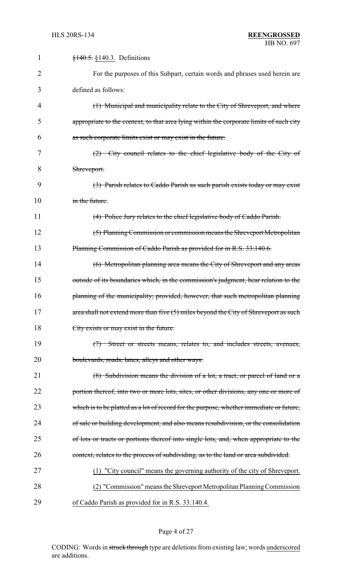| $\mathbf{1}$ | $\frac{$140.5}{9140.3}$ . Definitions                                                   |
|--------------|-----------------------------------------------------------------------------------------|
| 2            | For the purposes of this Subpart, certain words and phrases used herein are             |
| 3            | defined as follows:                                                                     |
| 4            | (1) Municipal and municipality relate to the City of Shreveport, and where              |
| 5            | appropriate to the context, to that area lying within the corporate limits of such city |
| 6            | as such corporate limits exist or may exist in the future.                              |
| 7            | (2) City council relates to the chief legislative body of the City of                   |
| 8            | Shreveport.                                                                             |
| 9            | (3) Parish relates to Caddo Parish as such parish exists today or may exist             |
| 10           | in the future.                                                                          |
| 11           | (4) Police Jury relates to the chief legislative body of Caddo Parish.                  |
| 12           | (5) Planning Commission or commission means the Shreveport Metropolitan                 |
| 13           | Planning Commission of Caddo Parish as provided for in R.S. 33:140.6.                   |
| 14           | (6) Metropolitan planning area means the City of Shreveport and any areas               |
| 15           | outside of its boundaries which, in the commission's judgment, bear relation to the     |
| 16           | planning of the municipality; provided, however, that such metropolitan planning        |
| 17           | area shall not extend more than five (5) miles beyond the City of Shreveport as such    |
| 18           | City exists or may exist in the future.                                                 |
| 19           | (7) Street or streets means, relates to, and includes streets, avenues,                 |
| 20           | boulevards, roads, lanes, alleys and other ways.                                        |
| 21           | (8) Subdivision means the division of a lot, a tract, or parcel of land or a            |
| 22           | portion thereof, into two or more lots, sites, or other divisions, any one or more of   |
| 23           | which is to be platted as a lot of record for the purpose, whether immediate or future, |
| 24           | of sale or building development, and also means resubdivision, or the consolidation     |
| 25           | of lots or tracts or portions thereof into single lots, and, when appropriate to the    |
| 26           | context, relates to the process of subdividing, as to the land or area subdivided.      |
| 27           | (1) "City council" means the governing authority of the city of Shreveport.             |
| 28           | (2) "Commission" means the Shreveport Metropolitan Planning Commission                  |
| 29           | of Caddo Parish as provided for in R.S. 33:140.4.                                       |

# Page 4 of 27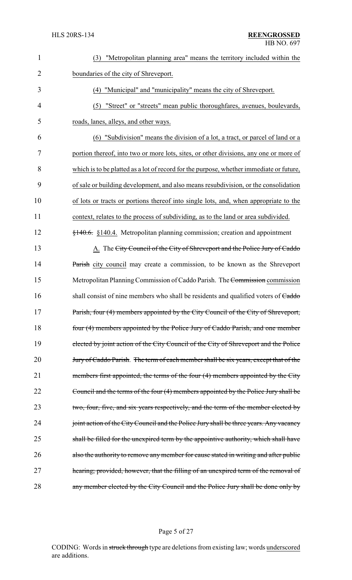| $\mathbf{1}$   | "Metropolitan planning area" means the territory included within the<br>(3)                |
|----------------|--------------------------------------------------------------------------------------------|
| $\overline{2}$ | boundaries of the city of Shreveport.                                                      |
| 3              | (4) "Municipal" and "municipality" means the city of Shreveport.                           |
| $\overline{4}$ | "Street" or "streets" mean public thoroughfares, avenues, boulevards,<br>(5)               |
| 5              | roads, lanes, alleys, and other ways.                                                      |
| 6              | "Subdivision" means the division of a lot, a tract, or parcel of land or a<br>(6)          |
| $\overline{7}$ | portion thereof, into two or more lots, sites, or other divisions, any one or more of      |
| 8              | which is to be platted as a lot of record for the purpose, whether immediate or future,    |
| 9              | of sale or building development, and also means resubdivision, or the consolidation        |
| 10             | of lots or tracts or portions thereof into single lots, and, when appropriate to the       |
| 11             | context, relates to the process of subdividing, as to the land or area subdivided.         |
| 12             | $\frac{140.6}{140.6}$ , §140.4. Metropolitan planning commission; creation and appointment |
| 13             | A. The City Council of the City of Shreveport and the Police Jury of Caddo                 |
| 14             | Parish city council may create a commission, to be known as the Shreveport                 |
| 15             | Metropolitan Planning Commission of Caddo Parish. The Commission commission                |
| 16             | shall consist of nine members who shall be residents and qualified voters of Caddo         |
| 17             | Parish, four (4) members appointed by the City Council of the City of Shreveport,          |
| 18             | four (4) members appointed by the Police Jury of Caddo Parish, and one member              |
| 19             | elected by joint action of the City Council of the City of Shreveport and the Police       |
| 20             | Jury of Caddo Parish. The term of each member shall be six years, except that of the       |
| 21             | members first appointed, the terms of the four (4) members appointed by the City           |
| 22             | Council and the terms of the four (4) members appointed by the Police Jury shall be        |
| 23             | two, four, five, and six years respectively, and the term of the member elected by         |
| 24             | joint action of the City Council and the Police Jury shall be three years. Any vacancy     |
| 25             | shall be filled for the unexpired term by the appointive authority, which shall have       |
| 26             | also the authority to remove any member for cause stated in writing and after public       |
| 27             | hearing; provided, however, that the filling of an unexpired term of the removal of        |
| 28             | any member elected by the City Council and the Police Jury shall be done only by           |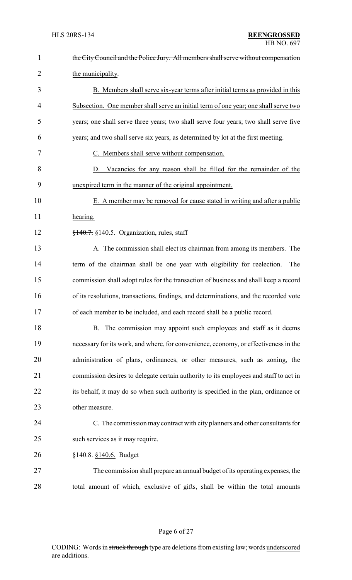| $\mathbf{1}$   | the City Council and the Police Jury. All members shall serve without compensation    |
|----------------|---------------------------------------------------------------------------------------|
| $\overline{2}$ | the municipality.                                                                     |
| 3              | B. Members shall serve six-year terms after initial terms as provided in this         |
| 4              | Subsection. One member shall serve an initial term of one year; one shall serve two   |
| 5              | years; one shall serve three years; two shall serve four years; two shall serve five  |
| 6              | years; and two shall serve six years, as determined by lot at the first meeting.      |
| 7              | C. Members shall serve without compensation.                                          |
| 8              | D. Vacancies for any reason shall be filled for the remainder of the                  |
| 9              | unexpired term in the manner of the original appointment.                             |
| 10             | E. A member may be removed for cause stated in writing and after a public             |
| 11             | hearing.                                                                              |
| 12             | $\frac{1}{2}$ +40.7. §140.5. Organization, rules, staff                               |
| 13             | A. The commission shall elect its chairman from among its members. The                |
| 14             | term of the chairman shall be one year with eligibility for reelection.<br>The        |
| 15             | commission shall adopt rules for the transaction of business and shall keep a record  |
| 16             | of its resolutions, transactions, findings, and determinations, and the recorded vote |
| 17             | of each member to be included, and each record shall be a public record.              |
| 18             | B. The commission may appoint such employees and staff as it deems                    |
| 19             | necessary for its work, and where, for convenience, economy, or effectiveness in the  |
| 20             | administration of plans, ordinances, or other measures, such as zoning, the           |
| 21             | commission desires to delegate certain authority to its employees and staff to act in |
| 22             | its behalf, it may do so when such authority is specified in the plan, ordinance or   |
| 23             | other measure.                                                                        |
| 24             | C. The commission may contract with city planners and other consultants for           |
| 25             | such services as it may require.                                                      |
| 26             | $\frac{$140.8}{9140.6}$ . Budget                                                      |
| 27             | The commission shall prepare an annual budget of its operating expenses, the          |
| 28             | total amount of which, exclusive of gifts, shall be within the total amounts          |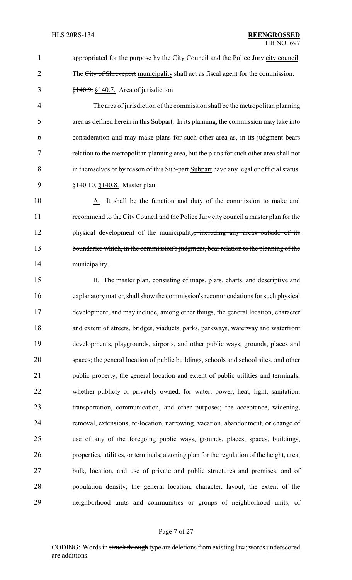1 appropriated for the purpose by the City Council and the Police Jury city council. 2 The City of Shreveport municipality shall act as fiscal agent for the commission.  $\frac{$140.9}{140.7}$ . S<sub>140.7</sub>. Area of jurisdiction

4 The area of jurisdiction of the commission shall be the metropolitan planning 5 area as defined herein in this Subpart. In its planning, the commission may take into 6 consideration and may make plans for such other area as, in its judgment bears 7 relation to the metropolitan planning area, but the plans for such other area shall not 8 in themselves or by reason of this Sub-part Subpart have any legal or official status. 9 <del>§140.10.</del> §140.8. Master plan

10 A. It shall be the function and duty of the commission to make and 11 recommend to the City Council and the Police Jury city council a master plan for the 12 physical development of the municipality, including any areas outside of its 13 boundaries which, in the commission's judgment, bear relation to the planning of the 14 municipality.

 B. The master plan, consisting of maps, plats, charts, and descriptive and explanatorymatter, shall show the commission's recommendations for such physical development, and may include, among other things, the general location, character and extent of streets, bridges, viaducts, parks, parkways, waterway and waterfront developments, playgrounds, airports, and other public ways, grounds, places and spaces; the general location of public buildings, schools and school sites, and other public property; the general location and extent of public utilities and terminals, whether publicly or privately owned, for water, power, heat, light, sanitation, transportation, communication, and other purposes; the acceptance, widening, removal, extensions, re-location, narrowing, vacation, abandonment, or change of use of any of the foregoing public ways, grounds, places, spaces, buildings, properties, utilities, or terminals; a zoning plan for the regulation of the height, area, bulk, location, and use of private and public structures and premises, and of population density; the general location, character, layout, the extent of the neighborhood units and communities or groups of neighborhood units, of

## Page 7 of 27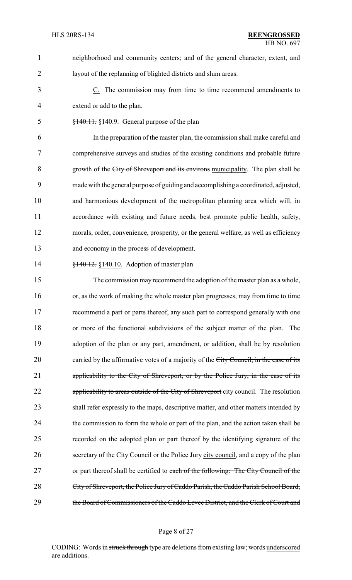neighborhood and community centers; and of the general character, extent, and layout of the replanning of blighted districts and slum areas.

 C. The commission may from time to time recommend amendments to extend or add to the plan.

§140.11. §140.9. General purpose of the plan

 In the preparation of the master plan, the commission shall make careful and comprehensive surveys and studies of the existing conditions and probable future growth of the City of Shreveport and its environs municipality. The plan shall be made with the general purpose of guiding and accomplishing a coordinated, adjusted, and harmonious development of the metropolitan planning area which will, in accordance with existing and future needs, best promote public health, safety, morals, order, convenience, prosperity, or the general welfare, as well as efficiency and economy in the process of development.

**§140.12.** §140.10. Adoption of master plan

 The commission may recommend the adoption of the master plan as a whole, or, as the work of making the whole master plan progresses, may from time to time recommend a part or parts thereof, any such part to correspond generally with one or more of the functional subdivisions of the subject matter of the plan. The adoption of the plan or any part, amendment, or addition, shall be by resolution 20 carried by the affirmative votes of a majority of the City Council, in the case of its applicability to the City of Shreveport, or by the Police Jury, in the case of its 22 applicability to areas outside of the City of Shreveport city council. The resolution shall refer expressly to the maps, descriptive matter, and other matters intended by the commission to form the whole or part of the plan, and the action taken shall be recorded on the adopted plan or part thereof by the identifying signature of the 26 secretary of the City Council or the Police Jury city council, and a copy of the plan 27 or part thereof shall be certified to each of the following: The City Council of the City of Shreveport, the Police Jury of Caddo Parish, the Caddo Parish School Board, 29 the Board of Commissioners of the Caddo Levee District, and the Clerk of Court and

### Page 8 of 27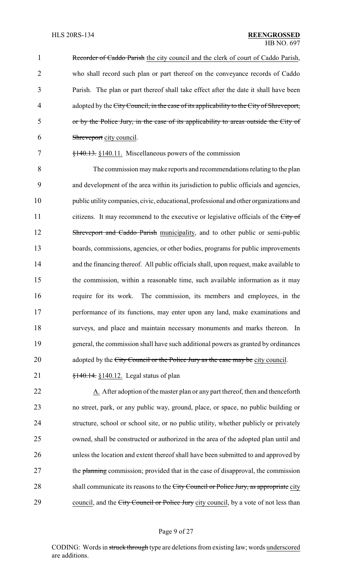1 Recorder of Caddo Parish the city council and the clerk of court of Caddo Parish, who shall record such plan or part thereof on the conveyance records of Caddo Parish. The plan or part thereof shall take effect after the date it shall have been 4 adopted by the City Council, in the case of its applicability to the City of Shreveport, or by the Police Jury, in the case of its applicability to areas outside the City of Shreveport city council.

## 7 §140.13. §140.11. Miscellaneous powers of the commission

 The commission maymake reports and recommendations relating to the plan and development of the area within its jurisdiction to public officials and agencies, public utilitycompanies, civic, educational, professional and other organizations and 11 citizens. It may recommend to the executive or legislative officials of the City of 12 Shreveport and Caddo Parish municipality, and to other public or semi-public boards, commissions, agencies, or other bodies, programs for public improvements and the financing thereof. All public officials shall, upon request, make available to the commission, within a reasonable time, such available information as it may require for its work. The commission, its members and employees, in the performance of its functions, may enter upon any land, make examinations and surveys, and place and maintain necessary monuments and marks thereon. In general, the commission shall have such additional powers as granted by ordinances 20 adopted by the City Council or the Police Jury as the case may be city council.

21 **§140.14.** §140.12. Legal status of plan

22 A. After adoption of the master plan or any part thereof, then and thenceforth 23 no street, park, or any public way, ground, place, or space, no public building or 24 structure, school or school site, or no public utility, whether publicly or privately 25 owned, shall be constructed or authorized in the area of the adopted plan until and 26 unless the location and extent thereof shall have been submitted to and approved by 27 the planning commission; provided that in the case of disapproval, the commission 28 shall communicate its reasons to the City Council or Police Jury, as appropriate city 29 council, and the City Council or Police Jury city council, by a vote of not less than

## Page 9 of 27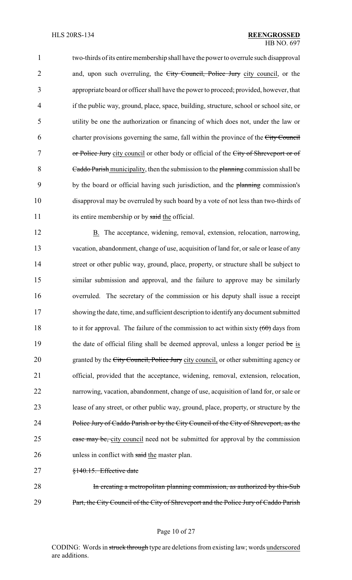## HLS 20RS-134 **REENGROSSED** HB NO. 697

1 two-thirds of its entire membership shall have the power to overrule such disapproval 2 and, upon such overruling, the City Council, Police Jury city council, or the 3 appropriate board or officer shall have the power to proceed; provided, however, that 4 if the public way, ground, place, space, building, structure, school or school site, or 5 utility be one the authorization or financing of which does not, under the law or 6 charter provisions governing the same, fall within the province of the City Council 7 or Police Jury city council or other body or official of the City of Shreveport or of 8 Caddo Parish municipality, then the submission to the planning commission shall be 9 by the board or official having such jurisdiction, and the planning commission's 10 disapproval may be overruled by such board by a vote of not less than two-thirds of 11 its entire membership or by said the official.

12 B. The acceptance, widening, removal, extension, relocation, narrowing, 13 vacation, abandonment, change of use, acquisition of land for, or sale or lease of any 14 street or other public way, ground, place, property, or structure shall be subject to 15 similar submission and approval, and the failure to approve may be similarly 16 overruled. The secretary of the commission or his deputy shall issue a receipt 17 showing the date, time, and sufficient description to identifyanydocument submitted 18 to it for approval. The failure of the commission to act within sixty  $(60)$  days from 19 the date of official filing shall be deemed approval, unless a longer period be is 20 granted by the City Council, Police Jury city council, or other submitting agency or 21 official, provided that the acceptance, widening, removal, extension, relocation, 22 narrowing, vacation, abandonment, change of use, acquisition of land for, or sale or 23 lease of any street, or other public way, ground, place, property, or structure by the 24 Police Jury of Caddo Parish or by the City Council of the City of Shreveport, as the 25 case may be, city council need not be submitted for approval by the commission 26 unless in conflict with said the master plan.

27 §140.15. Effective date

28 In creating a metropolitan planning commission, as authorized by this-Sub 29 Part, the City Council of the City of Shreveport and the Police Jury of Caddo Parish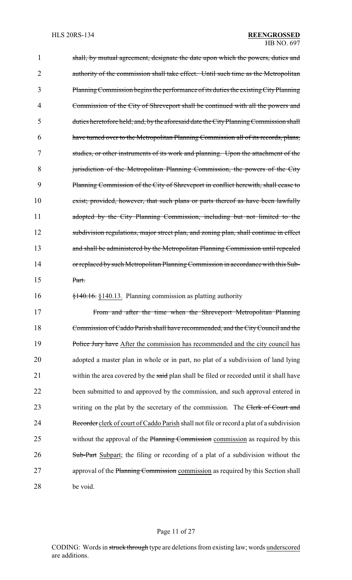1 shall, by mutual agreement, designate the date upon which the powers, duties and 2 authority of the commission shall take effect. Until such time as the Metropolitan 3 PlanningCommission begins the performance of its duties the existingCityPlanning 4 Commission of the City of Shreveport shall be continued with all the powers and 5 duties heretofore held; and, by the aforesaid date the CityPlanningCommission shall 6 have turned over to the Metropolitan Planning Commission all of its records, plans, 7 studies, or other instruments of its work and planning. Upon the attachment of the 8 jurisdiction of the Metropolitan Planning Commission, the powers of the City 9 Planning Commission of the City of Shreveport in conflict herewith, shall cease to 10 exist; provided, however, that such plans or parts thereof as have been lawfully 11 adopted by the City Planning Commission, including but not limited to the 12 subdivision regulations, major street plan, and zoning plan, shall continue in effect 13 and shall be administered by the Metropolitan Planning Commission until repealed 14 or replaced by such Metropolitan Planning Commission in accordance with this Sub-15 Part. 16 §140.16. §140.13. Planning commission as platting authority 17 From and after the time when the Shreveport Metropolitan Planning 18 Commission of Caddo Parish shall have recommended, and the CityCouncil and the 19 Police Jury have After the commission has recommended and the city council has 20 adopted a master plan in whole or in part, no plat of a subdivision of land lying 21 within the area covered by the said plan shall be filed or recorded until it shall have 22 been submitted to and approved by the commission, and such approval entered in 23 writing on the plat by the secretary of the commission. The Clerk of Court and 24 Recorder clerk of court of Caddo Parish shall not file or record a plat of a subdivision 25 without the approval of the Planning Commission commission as required by this

26 Sub-Part Subpart; the filing or recording of a plat of a subdivision without the 27 approval of the Planning Commission commission as required by this Section shall 28 be void.

## Page 11 of 27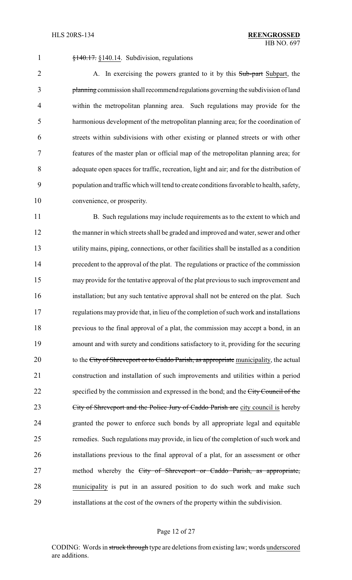§140.17. §140.14. Subdivision, regulations

2 A. In exercising the powers granted to it by this Sub-part Subpart, the planning commission shall recommend regulations governing the subdivision of land within the metropolitan planning area. Such regulations may provide for the harmonious development of the metropolitan planning area; for the coordination of streets within subdivisions with other existing or planned streets or with other features of the master plan or official map of the metropolitan planning area; for adequate open spaces for traffic, recreation, light and air; and for the distribution of population and traffic which will tend to create conditions favorable to health, safety, convenience, or prosperity.

11 B. Such regulations may include requirements as to the extent to which and the manner in which streets shall be graded and improved and water, sewer and other utility mains, piping, connections, or other facilities shall be installed as a condition precedent to the approval of the plat. The regulations or practice of the commission may provide for the tentative approval of the plat previous to such improvement and installation; but any such tentative approval shall not be entered on the plat. Such regulations may provide that, in lieu of the completion of such work and installations previous to the final approval of a plat, the commission may accept a bond, in an amount and with surety and conditions satisfactory to it, providing for the securing 20 to the City of Shreveport or to Caddo Parish, as appropriate municipality, the actual construction and installation of such improvements and utilities within a period 22 specified by the commission and expressed in the bond; and the City Council of the 23 City of Shreveport and the Police Jury of Caddo Parish are city council is hereby granted the power to enforce such bonds by all appropriate legal and equitable remedies. Such regulations may provide, in lieu of the completion of such work and installations previous to the final approval of a plat, for an assessment or other 27 method whereby the City of Shreveport or Caddo Parish, as appropriate, municipality is put in an assured position to do such work and make such installations at the cost of the owners of the property within the subdivision.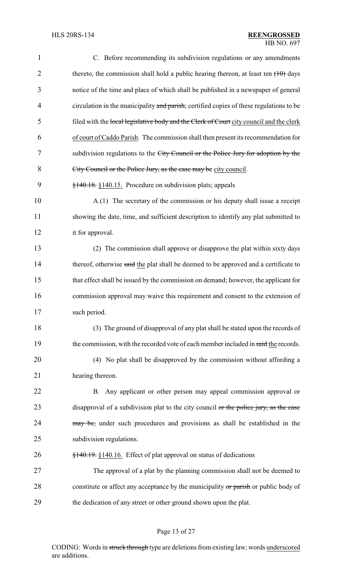| $\mathbf{1}$   | C. Before recommending its subdivision regulations or any amendments                    |
|----------------|-----------------------------------------------------------------------------------------|
| $\overline{2}$ | thereto, the commission shall hold a public hearing thereon, at least ten $(10)$ days   |
| 3              | notice of the time and place of which shall be published in a newspaper of general      |
| $\overline{4}$ | circulation in the municipality and parish; certified copies of these regulations to be |
| 5              | filed with the local legislative body and the Clerk of Court city council and the clerk |
| 6              | of court of Caddo Parish. The commission shall then present its recommendation for      |
| 7              | subdivision regulations to the City Council or the Police Jury for adoption by the      |
| 8              | City Council or the Police Jury, as the case may be city council.                       |
| 9              | $\frac{$140.18}{\\81.40.15}$ . Procedure on subdivision plats; appeals                  |
| 10             | A.(1) The secretary of the commission or his deputy shall issue a receipt               |
| 11             | showing the date, time, and sufficient description to identify any plat submitted to    |
| 12             | it for approval.                                                                        |
| 13             | (2) The commission shall approve or disapprove the plat within sixty days               |
| 14             | thereof, otherwise said the plat shall be deemed to be approved and a certificate to    |
| 15             | that effect shall be issued by the commission on demand; however, the applicant for     |
| 16             | commission approval may waive this requirement and consent to the extension of          |
| 17             | such period.                                                                            |
| 18             | (3) The ground of disapproval of any plat shall be stated upon the records of           |
| 19             | the commission, with the recorded vote of each member included in said the records.     |
| 20             | (4) No plat shall be disapproved by the commission without affording a                  |
| 21             | hearing thereon.                                                                        |
| 22             | B. Any applicant or other person may appeal commission approval or                      |
| 23             | disapproval of a subdivision plat to the city council or the police jury, as the case   |
| 24             | may be, under such procedures and provisions as shall be established in the             |
| 25             | subdivision regulations.                                                                |
| 26             | $\frac{$140.19}{\\8140.16}$ . Effect of plat approval on status of dedications          |
| 27             | The approval of a plat by the planning commission shall not be deemed to                |
| 28             | constitute or affect any acceptance by the municipality or parish or public body of     |
| 29             | the dedication of any street or other ground shown upon the plat.                       |

# Page 13 of 27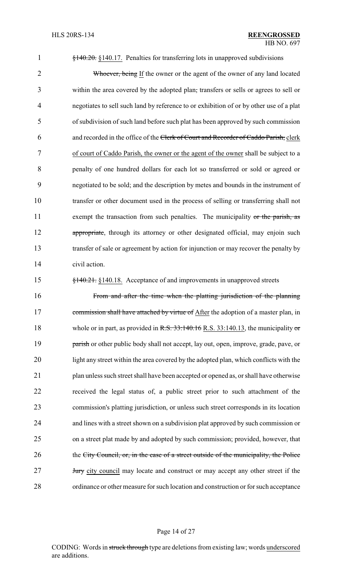§140.20. §140.17. Penalties for transferring lots in unapproved subdivisions

2 Whoever, being If the owner or the agent of the owner of any land located within the area covered by the adopted plan, transfers or sells or agrees to sell or negotiates to sell such land by reference to or exhibition of or by other use of a plat of subdivision of such land before such plat has been approved by such commission and recorded in the office of the Clerk of Court and Recorder of Caddo Parish, clerk of court of Caddo Parish, the owner or the agent of the owner shall be subject to a penalty of one hundred dollars for each lot so transferred or sold or agreed or negotiated to be sold; and the description by metes and bounds in the instrument of transfer or other document used in the process of selling or transferring shall not 11 exempt the transaction from such penalties. The municipality or the parish, as 12 appropriate, through its attorney or other designated official, may enjoin such transfer of sale or agreement by action for injunction or may recover the penalty by civil action.

§140.21. §140.18. Acceptance of and improvements in unapproved streets

 From and after the time when the platting jurisdiction of the planning 17 commission shall have attached by virtue of After the adoption of a master plan, in 18 whole or in part, as provided in R.S. 33:140.16 R.S. 33:140.13, the municipality or **parish** or other public body shall not accept, lay out, open, improve, grade, pave, or light any street within the area covered by the adopted plan, which conflicts with the plan unless such street shall have been accepted or opened as, or shall have otherwise received the legal status of, a public street prior to such attachment of the commission's platting jurisdiction, or unless such street corresponds in its location and lines with a street shown on a subdivision plat approved by such commission or on a street plat made by and adopted by such commission; provided, however, that 26 the City Council, or, in the case of a street outside of the municipality, the Police **Jury** city council may locate and construct or may accept any other street if the ordinance or other measure for such location and construction or for such acceptance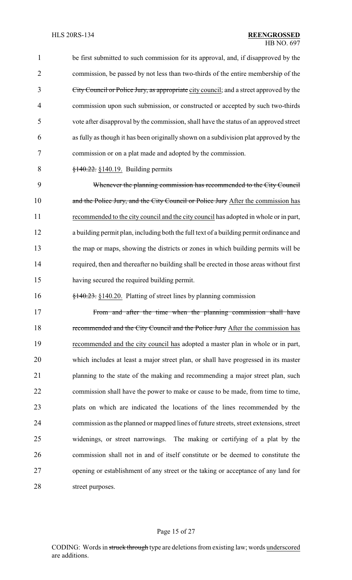be first submitted to such commission for its approval, and, if disapproved by the commission, be passed by not less than two-thirds of the entire membership of the City Council or Police Jury, as appropriate city council; and a street approved by the commission upon such submission, or constructed or accepted by such two-thirds vote after disapproval by the commission, shall have the status of an approved street as fully as though it has been originally shown on a subdivision plat approved by the commission or on a plat made and adopted by the commission. §140.22. §140.19. Building permits Whenever the planning commission has recommended to the City Council 10 and the Police Jury, and the City Council or Police Jury After the commission has recommended to the city council and the city council has adopted in whole or in part, a building permit plan, including both the full text of a building permit ordinance and the map or maps, showing the districts or zones in which building permits will be required, then and thereafter no building shall be erected in those areas without first having secured the required building permit. §140.23. §140.20. Platting of street lines by planning commission 17 From and after the time when the planning commission shall have 18 recommended and the City Council and the Police Jury After the commission has recommended and the city council has adopted a master plan in whole or in part, which includes at least a major street plan, or shall have progressed in its master 21 planning to the state of the making and recommending a major street plan, such commission shall have the power to make or cause to be made, from time to time, plats on which are indicated the locations of the lines recommended by the commission as the planned or mapped lines of future streets, street extensions, street widenings, or street narrowings. The making or certifying of a plat by the

 commission shall not in and of itself constitute or be deemed to constitute the opening or establishment of any street or the taking or acceptance of any land for street purposes.

## Page 15 of 27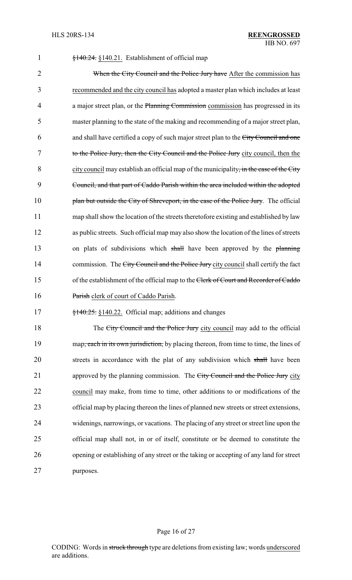| $\mathbf{1}$   | §140.24. §140.21. Establishment of official map                                           |
|----------------|-------------------------------------------------------------------------------------------|
| $\overline{2}$ | When the City Council and the Police Jury have After the commission has                   |
| 3              | recommended and the city council has adopted a master plan which includes at least        |
| 4              | a major street plan, or the Planning Commission commission has progressed in its          |
| 5              | master planning to the state of the making and recommending of a major street plan,       |
| 6              | and shall have certified a copy of such major street plan to the City Council and one     |
| 7              | to the Police Jury, then the City Council and the Police Jury city council, then the      |
| 8              | city council may establish an official map of the municipality, in the case of the City   |
| 9              | Council, and that part of Caddo Parish within the area included within the adopted        |
| 10             | plan but outside the City of Shreveport, in the case of the Police Jury. The official     |
| 11             | map shall show the location of the streets theretofore existing and established by law    |
| 12             | as public streets. Such official map may also show the location of the lines of streets   |
| 13             | on plats of subdivisions which shall have been approved by the planning                   |
| 14             | commission. The City Council and the Police Jury city council shall certify the fact      |
| 15             | of the establishment of the official map to the Clerk of Court and Recorder of Caddo      |
| 16             | Parish clerk of court of Caddo Parish.                                                    |
| 17             | $\frac{$140.25}{100.25}$ . $\frac{$140.22}{100.22}$ . Official map; additions and changes |
| 18             | The City Council and the Police Jury city council may add to the official                 |
| 19             | map, each in its own jurisdiction, by placing thereon, from time to time, the lines of    |
| 20             | streets in accordance with the plat of any subdivision which shall have been              |
| 21             | approved by the planning commission. The City Council and the Police Jury city            |
| 22             | council may make, from time to time, other additions to or modifications of the           |
| 23             | official map by placing thereon the lines of planned new streets or street extensions,    |
| 24             | widenings, narrowings, or vacations. The placing of any street or street line upon the    |
| 25             | official map shall not, in or of itself, constitute or be deemed to constitute the        |

purposes.

# Page 16 of 27

opening or establishing of any street or the taking or accepting of any land for street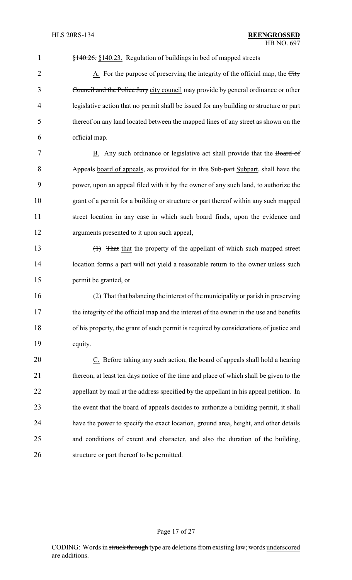| $\mathbf{1}$   | §140.26. §140.23. Regulation of buildings in bed of mapped streets                      |
|----------------|-----------------------------------------------------------------------------------------|
| $\overline{2}$ | A. For the purpose of preserving the integrity of the official map, the City            |
| 3              | Council and the Police Jury city council may provide by general ordinance or other      |
| 4              | legislative action that no permit shall be issued for any building or structure or part |
| 5              | thereof on any land located between the mapped lines of any street as shown on the      |
| 6              | official map.                                                                           |
| 7              | B. Any such ordinance or legislative act shall provide that the Board of                |
| 8              | Appeals board of appeals, as provided for in this Sub-part Subpart, shall have the      |
| 9              | power, upon an appeal filed with it by the owner of any such land, to authorize the     |
| 10             | grant of a permit for a building or structure or part thereof within any such mapped    |
| 11             | street location in any case in which such board finds, upon the evidence and            |
| 12             | arguments presented to it upon such appeal,                                             |
| 13             | (1) That that the property of the appellant of which such mapped street                 |
| 14             | location forms a part will not yield a reasonable return to the owner unless such       |
| 15             | permit be granted, or                                                                   |
| 16             | $(2)$ That that balancing the interest of the municipality or parish in preserving      |
| 17             | the integrity of the official map and the interest of the owner in the use and benefits |
| 18             | of his property, the grant of such permit is required by considerations of justice and  |
| 19             | equity.                                                                                 |
| 20             | C. Before taking any such action, the board of appeals shall hold a hearing             |
| 21             | thereon, at least ten days notice of the time and place of which shall be given to the  |
| 22             | appellant by mail at the address specified by the appellant in his appeal petition. In  |
| 23             | the event that the board of appeals decides to authorize a building permit, it shall    |
| 24             | have the power to specify the exact location, ground area, height, and other details    |
| 25             | and conditions of extent and character, and also the duration of the building,          |
| 26             | structure or part thereof to be permitted.                                              |
|                |                                                                                         |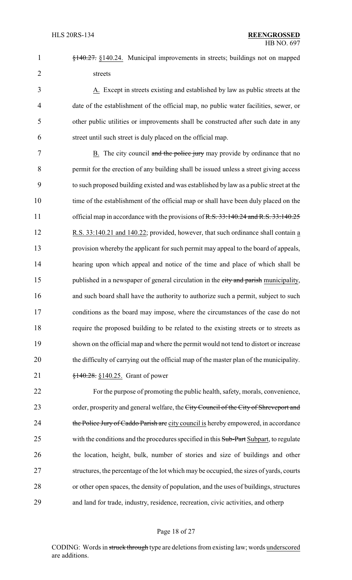§140.27. §140.24. Municipal improvements in streets; buildings not on mapped streets

 A. Except in streets existing and established by law as public streets at the date of the establishment of the official map, no public water facilities, sewer, or other public utilities or improvements shall be constructed after such date in any street until such street is duly placed on the official map.

7 B. The city council and the police jury may provide by ordinance that no permit for the erection of any building shall be issued unless a street giving access to such proposed building existed and was established by law as a public street at the time of the establishment of the official map or shall have been duly placed on the 11 official map in accordance with the provisions of R.S. 33:140.24 and R.S. 33:140.25 R.S. 33:140.21 and 140.22; provided, however, that such ordinance shall contain a provision whereby the applicant for such permit may appeal to the board of appeals, hearing upon which appeal and notice of the time and place of which shall be 15 published in a newspaper of general circulation in the city and parish municipality, 16 and such board shall have the authority to authorize such a permit, subject to such conditions as the board may impose, where the circumstances of the case do not require the proposed building to be related to the existing streets or to streets as shown on the official map and where the permit would not tend to distort or increase the difficulty of carrying out the official map of the master plan of the municipality. **§140.28.** §140.25. Grant of power

 For the purpose of promoting the public health, safety, morals, convenience, 23 order, prosperity and general welfare, the City Council of the City of Shreveport and 24 the Police Jury of Caddo Parish are city council is hereby empowered, in accordance 25 with the conditions and the procedures specified in this Sub-Part Subpart, to regulate the location, height, bulk, number of stories and size of buildings and other structures, the percentage of the lot which may be occupied, the sizes of yards, courts or other open spaces, the density of population, and the uses of buildings, structures and land for trade, industry, residence, recreation, civic activities, and otherp

## Page 18 of 27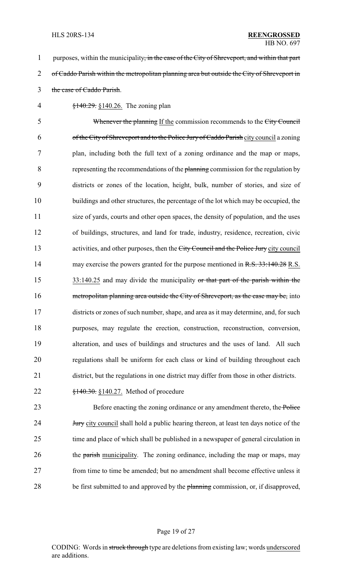1 purposes, within the municipality, in the case of the City of Shreveport, and within that part 2 of Caddo Parish within the metropolitan planning area but outside the City of Shreveport in 3 the case of Caddo Parish.

4 §140.29. §140.26. The zoning plan

5 Whenever the planning If the commission recommends to the City Council of the City of Shreveport and to the Police Jury of Caddo Parish city council a zoning plan, including both the full text of a zoning ordinance and the map or maps, representing the recommendations of the planning commission for the regulation by districts or zones of the location, height, bulk, number of stories, and size of buildings and other structures, the percentage of the lot which may be occupied, the size of yards, courts and other open spaces, the density of population, and the uses of buildings, structures, and land for trade, industry, residence, recreation, civic 13 activities, and other purposes, then the City Council and the Police Jury city council 14 may exercise the powers granted for the purpose mentioned in R.S. 33:140.28 R.S. 15 33:140.25 and may divide the municipality or that part of the parish within the 16 metropolitan planning area outside the City of Shreveport, as the case may be, into districts or zones of such number, shape, and area as it may determine, and, for such purposes, may regulate the erection, construction, reconstruction, conversion, alteration, and uses of buildings and structures and the uses of land. All such regulations shall be uniform for each class or kind of building throughout each district, but the regulations in one district may differ from those in other districts.

22  $\frac{$140.30}{9140.30}$  \times \$140.27. Method of procedure

23 Before enacting the zoning ordinance or any amendment thereto, the Police 24 **Jury** city council shall hold a public hearing thereon, at least ten days notice of the 25 time and place of which shall be published in a newspaper of general circulation in 26 the parish municipality. The zoning ordinance, including the map or maps, may 27 from time to time be amended; but no amendment shall become effective unless it 28 be first submitted to and approved by the planning commission, or, if disapproved,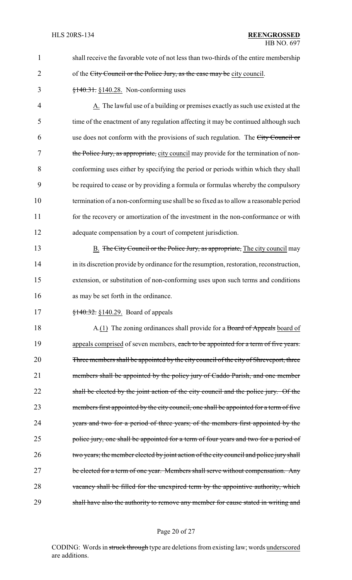| $\mathbf{1}$   | shall receive the favorable vote of not less than two-thirds of the entire membership   |
|----------------|-----------------------------------------------------------------------------------------|
| $\overline{2}$ | of the City Council or the Police Jury, as the case may be city council.                |
| 3              | $$140.31$ . $$140.28$ . Non-conforming uses                                             |
| 4              | A. The lawful use of a building or premises exactly as such use existed at the          |
| 5              | time of the enactment of any regulation affecting it may be continued although such     |
| 6              | use does not conform with the provisions of such regulation. The City Council or        |
| 7              | the Police Jury, as appropriate, city council may provide for the termination of non-   |
| 8              | conforming uses either by specifying the period or periods within which they shall      |
| 9              | be required to cease or by providing a formula or formulas whereby the compulsory       |
| 10             | termination of a non-conforming use shall be so fixed as to allow a reasonable period   |
| 11             | for the recovery or amortization of the investment in the non-conformance or with       |
| 12             | adequate compensation by a court of competent jurisdiction.                             |
| 13             | <b>B.</b> The City Council or the Police Jury, as appropriate, The city council may     |
| 14             | in its discretion provide by ordinance for the resumption, restoration, reconstruction, |
| 15             | extension, or substitution of non-conforming uses upon such terms and conditions        |
| 16             | as may be set forth in the ordinance.                                                   |
| 17             | $\frac{1}{2}$ +40.32. §140.29. Board of appeals                                         |
| 18             | A.(1) The zoning ordinances shall provide for a Board of Appeals board of               |
| 19             | appeals comprised of seven members, each to be appointed for a term of five years.      |
| 20             | Three members shall be appointed by the city council of the city of Shreveport, three   |
| 21             | members shall be appointed by the policy jury of Caddo Parish, and one member           |
| 22             | shall be elected by the joint action of the city council and the police jury. Of the    |
| 23             | members first appointed by the city council, one shall be appointed for a term of five  |
| 24             | years and two for a period of three years; of the members first appointed by the        |
| 25             | police jury, one shall be appointed for a term of four years and two for a period of    |
| 26             | two years; the member elected by joint action of the city council and police jury shall |
| 27             | be elected for a term of one year. Members shall serve without compensation. Any        |
| 28             | vacancy shall be filled for the unexpired term by the appointive authority, which       |
| 29             | shall have also the authority to remove any member for cause stated in writing and      |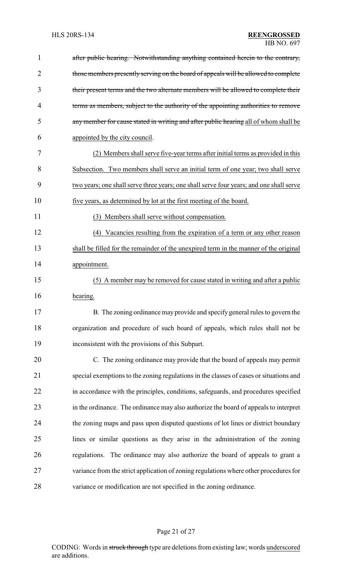| 1              | after public hearing. Notwithstanding anything contained herein to the contrary,        |
|----------------|-----------------------------------------------------------------------------------------|
| $\overline{2}$ | those members presently serving on the board of appeals will be allowed to complete     |
| 3              | their present terms and the two alternate members will be allowed to complete their     |
| 4              | terms as members, subject to the authority of the appointing authorities to remove      |
| 5              | any member for cause stated in writing and after public hearing all of whom shall be    |
| 6              | appointed by the city council.                                                          |
| 7              | (2) Members shall serve five-year terms after initial terms as provided in this         |
| 8              | Subsection. Two members shall serve an initial term of one year; two shall serve        |
| 9              | two years; one shall serve three years; one shall serve four years; and one shall serve |
| 10             | five years, as determined by lot at the first meeting of the board.                     |
| 11             | (3) Members shall serve without compensation.                                           |
| 12             | (4) Vacancies resulting from the expiration of a term or any other reason               |
| 13             | shall be filled for the remainder of the unexpired term in the manner of the original   |
| 14             | appointment.                                                                            |
| 15             | (5) A member may be removed for cause stated in writing and after a public              |
| 16             | hearing.                                                                                |
| 17             | B. The zoning ordinance may provide and specify general rules to govern the             |
| 18             | organization and procedure of such board of appeals, which rules shall not be           |
| 19             | inconsistent with the provisions of this Subpart.                                       |
| 20             | C. The zoning ordinance may provide that the board of appeals may permit                |
| 21             | special exemptions to the zoning regulations in the classes of cases or situations and  |
| 22             | in accordance with the principles, conditions, safeguards, and procedures specified     |
| 23             | in the ordinance. The ordinance may also authorize the board of appeals to interpret    |
| 24             | the zoning maps and pass upon disputed questions of lot lines or district boundary      |
| 25             | lines or similar questions as they arise in the administration of the zoning            |
| 26             | regulations. The ordinance may also authorize the board of appeals to grant a           |
| 27             | variance from the strict application of zoning regulations where other procedures for   |
| 28             | variance or modification are not specified in the zoning ordinance.                     |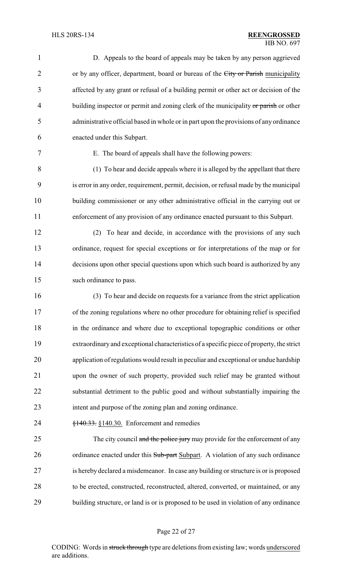| 1              | D. Appeals to the board of appeals may be taken by any person aggrieved                   |
|----------------|-------------------------------------------------------------------------------------------|
| $\overline{2}$ | or by any officer, department, board or bureau of the City or Parish municipality         |
| 3              | affected by any grant or refusal of a building permit or other act or decision of the     |
| 4              | building inspector or permit and zoning clerk of the municipality or parish or other      |
| 5              | administrative official based in whole or in part upon the provisions of any ordinance    |
| 6              | enacted under this Subpart.                                                               |
| 7              | E. The board of appeals shall have the following powers:                                  |
| 8              | (1) To hear and decide appeals where it is alleged by the appellant that there            |
| 9              | is error in any order, requirement, permit, decision, or refusal made by the municipal    |
| 10             | building commissioner or any other administrative official in the carrying out or         |
| 11             | enforcement of any provision of any ordinance enacted pursuant to this Subpart.           |
| 12             | To hear and decide, in accordance with the provisions of any such<br>(2)                  |
| 13             | ordinance, request for special exceptions or for interpretations of the map or for        |
| 14             | decisions upon other special questions upon which such board is authorized by any         |
| 15             | such ordinance to pass.                                                                   |
| 16             | (3) To hear and decide on requests for a variance from the strict application             |
| 17             | of the zoning regulations where no other procedure for obtaining relief is specified      |
| 18             | in the ordinance and where due to exceptional topographic conditions or other             |
| 19             | extraordinary and exceptional characteristics of a specific piece of property, the strict |
| 20             | application of regulations would result in peculiar and exceptional or undue hardship     |
| 21             | upon the owner of such property, provided such relief may be granted without              |
| 22             | substantial detriment to the public good and without substantially impairing the          |
| 23             | intent and purpose of the zoning plan and zoning ordinance.                               |
| 24             | $\frac{$140.33}{\\8140.30}$ . Enforcement and remedies                                    |
| 25             | The city council and the police jury may provide for the enforcement of any               |
| 26             | ordinance enacted under this Sub-part Subpart. A violation of any such ordinance          |
| 27             | is hereby declared a misdemeanor. In case any building or structure is or is proposed     |
| 28             | to be erected, constructed, reconstructed, altered, converted, or maintained, or any      |
| 29             | building structure, or land is or is proposed to be used in violation of any ordinance    |
|                |                                                                                           |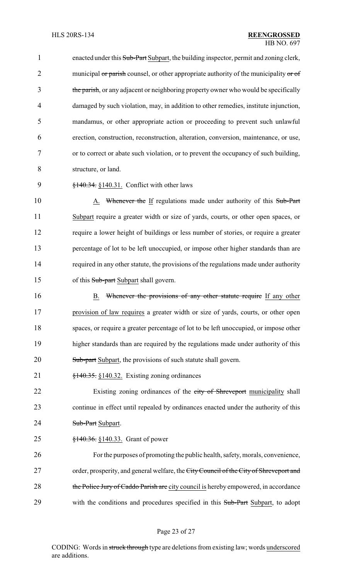1 enacted under this Sub-Part Subpart, the building inspector, permit and zoning clerk, 2 municipal or parish counsel, or other appropriate authority of the municipality or of 3 the parish, or any adjacent or neighboring property owner who would be specifically damaged by such violation, may, in addition to other remedies, institute injunction, mandamus, or other appropriate action or proceeding to prevent such unlawful erection, construction, reconstruction, alteration, conversion, maintenance, or use, or to correct or abate such violation, or to prevent the occupancy of such building, structure, or land.

9 §140.34. §140.31. Conflict with other laws

10 A. Whenever the If regulations made under authority of this Sub-Part Subpart require a greater width or size of yards, courts, or other open spaces, or require a lower height of buildings or less number of stories, or require a greater percentage of lot to be left unoccupied, or impose other higher standards than are required in any other statute, the provisions of the regulations made under authority 15 of this Sub-part Subpart shall govern.

16 B. Whenever the provisions of any other statute require If any other 17 provision of law requires a greater width or size of yards, courts, or other open 18 spaces, or require a greater percentage of lot to be left unoccupied, or impose other 19 higher standards than are required by the regulations made under authority of this 20 Sub-part Subpart, the provisions of such statute shall govern.

21 §140.35. §140.32. Existing zoning ordinances

22 Existing zoning ordinances of the city of Shreveport municipality shall 23 continue in effect until repealed by ordinances enacted under the authority of this 24 **Sub-Part Subpart.** 

25 <del>§140.36.</del> §140.33. Grant of power

26 For the purposes of promoting the public health, safety, morals, convenience, 27 order, prosperity, and general welfare, the City Council of the City of Shreveport and 28 the Police Jury of Caddo Parish are city council is hereby empowered, in accordance 29 with the conditions and procedures specified in this Sub-Part Subpart, to adopt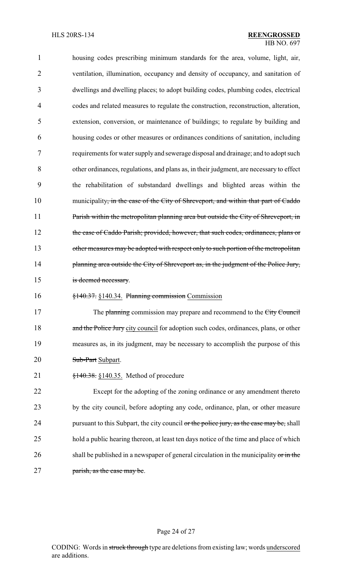| $\mathbf{1}$   | housing codes prescribing minimum standards for the area, volume, light, air,                  |
|----------------|------------------------------------------------------------------------------------------------|
| $\overline{2}$ | ventilation, illumination, occupancy and density of occupancy, and sanitation of               |
| 3              | dwellings and dwelling places; to adopt building codes, plumbing codes, electrical             |
| 4              | codes and related measures to regulate the construction, reconstruction, alteration,           |
| 5              | extension, conversion, or maintenance of buildings; to regulate by building and                |
| 6              | housing codes or other measures or ordinances conditions of sanitation, including              |
| 7              | requirements for water supply and sewerage disposal and drainage; and to adopt such            |
| 8              | other ordinances, regulations, and plans as, in their judgment, are necessary to effect        |
| 9              | the rehabilitation of substandard dwellings and blighted areas within the                      |
| 10             | municipality <del>, in the case of the City of Shreveport, and within that part of Caddo</del> |
| 11             | Parish within the metropolitan planning area but outside the City of Shreveport, in            |
| 12             | the case of Caddo Parish; provided, however, that such codes, ordinances, plans or             |
| 13             | other measures may be adopted with respect only to such portion of the metropolitan            |
| 14             | planning area outside the City of Shreveport as, in the judgment of the Police Jury,           |
| 15             | is deemed necessary.                                                                           |
| 16             | §140.37. §140.34. Planning commission Commission                                               |
| 17             | The planning commission may prepare and recommend to the City Council                          |
| 18             | and the Police Jury city council for adoption such codes, ordinances, plans, or other          |
| 19             | measures as, in its judgment, may be necessary to accomplish the purpose of this               |
| 20             | Sub-Part Subpart.                                                                              |
| 21             | $\frac{$140.38}{140.35}$ , Method of procedure                                                 |
| $\mathcal{D}$  | Execut for the edenting of the zoning ordinance or ony emendment thereto                       |

 Except for the adopting of the zoning ordinance or any amendment thereto by the city council, before adopting any code, ordinance, plan, or other measure 24 pursuant to this Subpart, the city council or the police jury, as the case may be, shall hold a public hearing thereon, at least ten days notice of the time and place of which 26 shall be published in a newspaper of general circulation in the municipality or in the **parish, as the case may be.** 

## Page 24 of 27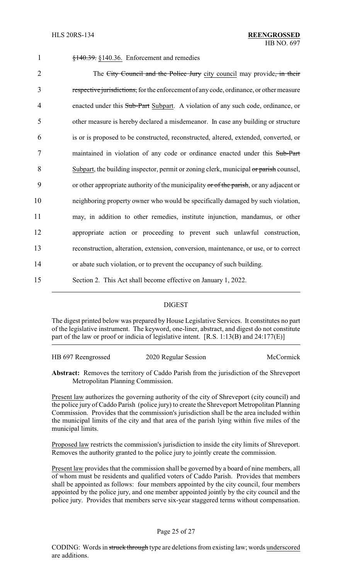| $\mathbf{1}$   | $\frac{$140.39}{140.36}$ , Enforcement and remedies                                     |
|----------------|-----------------------------------------------------------------------------------------|
| $\overline{2}$ | The City Council and the Police Jury city council may provide, in their                 |
| 3              | respective jurisdictions, for the enforcement of any code, ordinance, or other measure  |
| $\overline{4}$ | enacted under this Sub-Part Subpart. A violation of any such code, ordinance, or        |
| 5              | other measure is hereby declared a misdemeanor. In case any building or structure       |
| 6              | is or is proposed to be constructed, reconstructed, altered, extended, converted, or    |
| 7              | maintained in violation of any code or ordinance enacted under this Sub-Part            |
| 8              | Subpart, the building inspector, permit or zoning clerk, municipal or parish counsel,   |
| 9              | or other appropriate authority of the municipality or of the parish, or any adjacent or |
| 10             | neighboring property owner who would be specifically damaged by such violation,         |
| 11             | may, in addition to other remedies, institute injunction, mandamus, or other            |
| 12             | appropriate action or proceeding to prevent such unlawful construction,                 |
| 13             | reconstruction, alteration, extension, conversion, maintenance, or use, or to correct   |
| 14             | or abate such violation, or to prevent the occupancy of such building.                  |
| 15             | Section 2. This Act shall become effective on January 1, 2022.                          |
|                |                                                                                         |

## DIGEST

The digest printed below was prepared by House Legislative Services. It constitutes no part of the legislative instrument. The keyword, one-liner, abstract, and digest do not constitute part of the law or proof or indicia of legislative intent. [R.S. 1:13(B) and 24:177(E)]

| HB 697 Reengrossed | 2020 Regular Session | McCormick |
|--------------------|----------------------|-----------|
|                    |                      |           |

**Abstract:** Removes the territory of Caddo Parish from the jurisdiction of the Shreveport Metropolitan Planning Commission.

Present law authorizes the governing authority of the city of Shreveport (city council) and the police jury of Caddo Parish (police jury) to create the Shreveport Metropolitan Planning Commission. Provides that the commission's jurisdiction shall be the area included within the municipal limits of the city and that area of the parish lying within five miles of the municipal limits.

Proposed law restricts the commission's jurisdiction to inside the city limits of Shreveport. Removes the authority granted to the police jury to jointly create the commission.

Present law provides that the commission shall be governed by a board of nine members, all of whom must be residents and qualified voters of Caddo Parish. Provides that members shall be appointed as follows: four members appointed by the city council, four members appointed by the police jury, and one member appointed jointly by the city council and the police jury. Provides that members serve six-year staggered terms without compensation.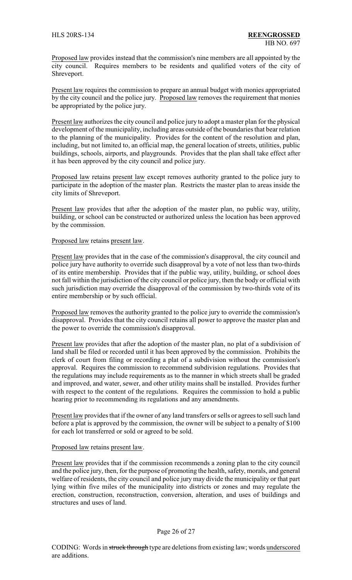Proposed law provides instead that the commission's nine members are all appointed by the city council. Requires members to be residents and qualified voters of the city of Shreveport.

Present law requires the commission to prepare an annual budget with monies appropriated by the city council and the police jury. Proposed law removes the requirement that monies be appropriated by the police jury.

Present law authorizes the city council and police jury to adopt a master plan for the physical development of the municipality, including areas outside of the boundaries that bear relation to the planning of the municipality. Provides for the content of the resolution and plan, including, but not limited to, an official map, the general location of streets, utilities, public buildings, schools, airports, and playgrounds. Provides that the plan shall take effect after it has been approved by the city council and police jury.

Proposed law retains present law except removes authority granted to the police jury to participate in the adoption of the master plan. Restricts the master plan to areas inside the city limits of Shreveport.

Present law provides that after the adoption of the master plan, no public way, utility, building, or school can be constructed or authorized unless the location has been approved by the commission.

## Proposed law retains present law.

Present law provides that in the case of the commission's disapproval, the city council and police jury have authority to override such disapproval by a vote of not less than two-thirds of its entire membership. Provides that if the public way, utility, building, or school does not fall within the jurisdiction of the city council or police jury, then the body or official with such jurisdiction may override the disapproval of the commission by two-thirds vote of its entire membership or by such official.

Proposed law removes the authority granted to the police jury to override the commission's disapproval. Provides that the city council retains all power to approve the master plan and the power to override the commission's disapproval.

Present law provides that after the adoption of the master plan, no plat of a subdivision of land shall be filed or recorded until it has been approved by the commission. Prohibits the clerk of court from filing or recording a plat of a subdivision without the commission's approval. Requires the commission to recommend subdivision regulations. Provides that the regulations may include requirements as to the manner in which streets shall be graded and improved, and water, sewer, and other utility mains shall be installed. Provides further with respect to the content of the regulations. Requires the commission to hold a public hearing prior to recommending its regulations and any amendments.

Present law provides that if the owner of any land transfers or sells or agrees to sell such land before a plat is approved by the commission, the owner will be subject to a penalty of \$100 for each lot transferred or sold or agreed to be sold.

### Proposed law retains present law.

Present law provides that if the commission recommends a zoning plan to the city council and the police jury, then, for the purpose of promoting the health, safety, morals, and general welfare of residents, the city council and police jurymay divide the municipality or that part lying within five miles of the municipality into districts or zones and may regulate the erection, construction, reconstruction, conversion, alteration, and uses of buildings and structures and uses of land.